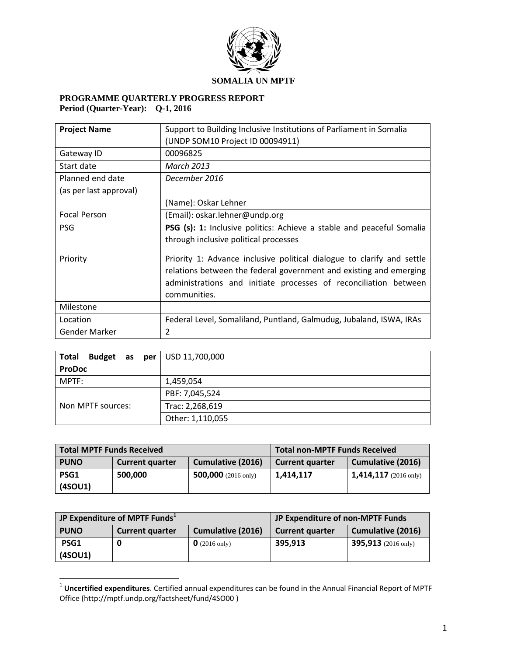

## **PROGRAMME QUARTERLY PROGRESS REPORT Period (Quarter-Year): Q-1, 2016**

| <b>Project Name</b><br>Support to Building Inclusive Institutions of Parliament in Somalia |                                                                        |  |  |
|--------------------------------------------------------------------------------------------|------------------------------------------------------------------------|--|--|
|                                                                                            | (UNDP SOM10 Project ID 00094911)                                       |  |  |
| Gateway ID                                                                                 | 00096825                                                               |  |  |
| Start date                                                                                 | <b>March 2013</b>                                                      |  |  |
| Planned end date                                                                           | December 2016                                                          |  |  |
| (as per last approval)                                                                     |                                                                        |  |  |
|                                                                                            | (Name): Oskar Lehner                                                   |  |  |
| <b>Focal Person</b>                                                                        | (Email): oskar.lehner@undp.org                                         |  |  |
| <b>PSG</b>                                                                                 | PSG (s): 1: Inclusive politics: Achieve a stable and peaceful Somalia  |  |  |
|                                                                                            | through inclusive political processes                                  |  |  |
| Priority                                                                                   | Priority 1: Advance inclusive political dialogue to clarify and settle |  |  |
|                                                                                            | relations between the federal government and existing and emerging     |  |  |
|                                                                                            | administrations and initiate processes of reconciliation between       |  |  |
|                                                                                            | communities.                                                           |  |  |
| Milestone                                                                                  |                                                                        |  |  |
| Location                                                                                   | Federal Level, Somaliland, Puntland, Galmudug, Jubaland, ISWA, IRAs    |  |  |
| Gender Marker                                                                              | $\overline{2}$                                                         |  |  |

| <b>Budget</b> as $per \cup$ USD 11,700,000<br><b>Total</b> |                  |
|------------------------------------------------------------|------------------|
| <b>ProDoc</b>                                              |                  |
| MPTF:                                                      | 1,459,054        |
|                                                            | PBF: 7,045,524   |
| Non MPTF sources:                                          | Trac: 2,268,619  |
|                                                            | Other: 1,110,055 |

| Total MPTF Funds Received |                        |                               | <b>Total non-MPTF Funds Received</b> |                              |
|---------------------------|------------------------|-------------------------------|--------------------------------------|------------------------------|
| <b>PUNO</b>               | <b>Current quarter</b> | <b>Cumulative (2016)</b>      | <b>Current quarter</b>               | <b>Cumulative (2016)</b>     |
| PSG1                      | 500,000                | 500,000 $(2016 \text{ only})$ | 1,414,117                            | <b>1,414,117</b> (2016 only) |
| (4SOU1)                   |                        |                               |                                      |                              |

|             | <b>JP Expenditure of MPTF Funds</b> | JP Expenditure of non-MPTF Funds |                        |                            |
|-------------|-------------------------------------|----------------------------------|------------------------|----------------------------|
| <b>PUNO</b> | <b>Current quarter</b>              | <b>Cumulative (2016)</b>         | <b>Current quarter</b> | <b>Cumulative (2016)</b>   |
| PSG1        |                                     | $\bf{0}$ (2016 only)             | 395.913                | <b>395,913</b> (2016 only) |
| (4SOU1)     |                                     |                                  |                        |                            |

 1 **Uncertified expenditures**. Certified annual expenditures can be found in the Annual Financial Report of MPTF Office [\(http://mptf.undp.org/factsheet/fund/4SO00](http://mptf.undp.org/factsheet/fund/4SO00) )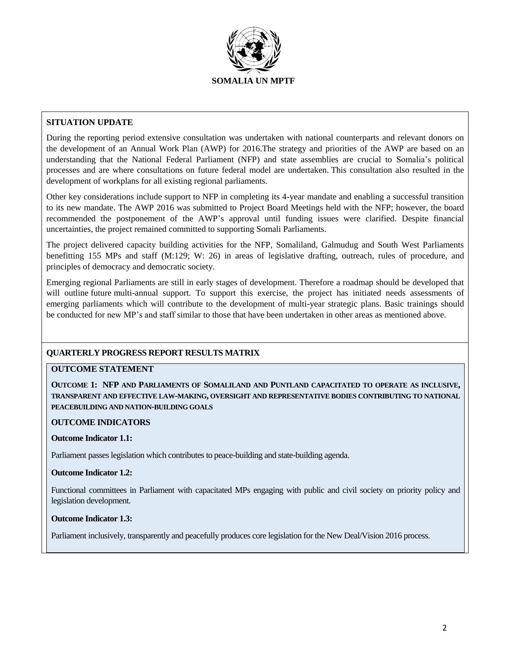

### **SITUATION UPDATE**

During the reporting period extensive consultation was undertaken with national counterparts and relevant donors on the development of an Annual Work Plan (AWP) for 2016.The strategy and priorities of the AWP are based on an understanding that the National Federal Parliament (NFP) and state assemblies are crucial to Somalia's political processes and are where consultations on future federal model are undertaken. This consultation also resulted in the development of workplans for all existing regional parliaments.

Other key considerations include support to NFP in completing its 4-year mandate and enabling a successful transition to its new mandate. The AWP 2016 was submitted to Project Board Meetings held with the NFP; however, the board recommended the postponement of the AWP's approval until funding issues were clarified. Despite financial uncertainties, the project remained committed to supporting Somali Parliaments.

The project delivered capacity building activities for the NFP, Somaliland, Galmudug and South West Parliaments benefitting 155 MPs and staff (M:129; W: 26) in areas of legislative drafting, outreach, rules of procedure, and principles of democracy and democratic society.

Emerging regional Parliaments are still in early stages of development. Therefore a roadmap should be developed that will outline future multi-annual support. To support this exercise, the project has initiated needs assessments of emerging parliaments which will contribute to the development of multi-year strategic plans. Basic trainings should be conducted for new MP's and staff similar to those that have been undertaken in other areas as mentioned above.

### **QUARTERLY PROGRESS REPORT RESULTS MATRIX**

### **OUTCOME STATEMENT**

**OUTCOME 1: NFP AND PARLIAMENTS OF SOMALILAND AND PUNTLAND CAPACITATED TO OPERATE AS INCLUSIVE, TRANSPARENT AND EFFECTIVE LAW-MAKING, OVERSIGHT AND REPRESENTATIVE BODIES CONTRIBUTING TO NATIONAL PEACEBUILDING AND NATION-BUILDING GOALS**

#### **OUTCOME INDICATORS**

#### **Outcome Indicator 1.1:**

Parliament passes legislation which contributes to peace-building and state-building agenda.

#### **Outcome Indicator 1.2:**

Functional committees in Parliament with capacitated MPs engaging with public and civil society on priority policy and legislation development.

#### **Outcome Indicator 1.3:**

Parliament inclusively, transparently and peacefully produces core legislation for the New Deal/Vision 2016 process.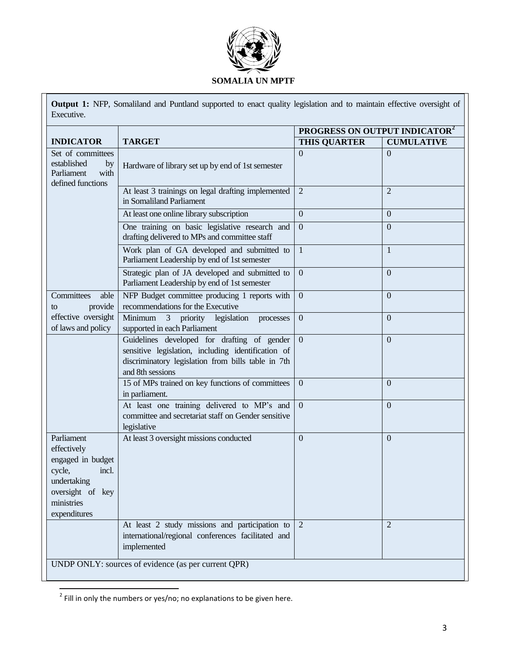

**Output 1:** NFP, Somaliland and Puntland supported to enact quality legislation and to maintain effective oversight of Executive.

|                                                                                                                                    |                                                                                                                                                                             | PROGRESS ON OUTPUT INDICATOR <sup>2</sup> |                   |  |  |
|------------------------------------------------------------------------------------------------------------------------------------|-----------------------------------------------------------------------------------------------------------------------------------------------------------------------------|-------------------------------------------|-------------------|--|--|
| <b>INDICATOR</b>                                                                                                                   | <b>TARGET</b>                                                                                                                                                               | <b>THIS QUARTER</b>                       | <b>CUMULATIVE</b> |  |  |
| Set of committees<br>established<br>by<br>Parliament<br>with<br>defined functions                                                  | Hardware of library set up by end of 1st semester                                                                                                                           | $\Omega$                                  | $\Omega$          |  |  |
|                                                                                                                                    | At least 3 trainings on legal drafting implemented<br>in Somaliland Parliament                                                                                              | $\overline{2}$                            | $\overline{2}$    |  |  |
|                                                                                                                                    | At least one online library subscription                                                                                                                                    | $\overline{0}$                            | $\overline{0}$    |  |  |
|                                                                                                                                    | One training on basic legislative research and<br>drafting delivered to MPs and committee staff                                                                             | $\overline{0}$                            | $\overline{0}$    |  |  |
|                                                                                                                                    | Work plan of GA developed and submitted to<br>Parliament Leadership by end of 1st semester                                                                                  | $\mathbf{1}$                              | $\mathbf{1}$      |  |  |
|                                                                                                                                    | Strategic plan of JA developed and submitted to<br>Parliament Leadership by end of 1st semester                                                                             | $\mathbf{0}$                              | $\overline{0}$    |  |  |
| Committees<br>able<br>provide<br>to                                                                                                | NFP Budget committee producing 1 reports with<br>recommendations for the Executive                                                                                          | $\overline{0}$                            | $\overline{0}$    |  |  |
| effective oversight<br>of laws and policy                                                                                          | Minimum<br>3 priority legislation<br>processes<br>supported in each Parliament                                                                                              | $\mathbf{0}$                              | $\overline{0}$    |  |  |
|                                                                                                                                    | Guidelines developed for drafting of gender<br>sensitive legislation, including identification of<br>discriminatory legislation from bills table in 7th<br>and 8th sessions | $\overline{0}$                            | $\overline{0}$    |  |  |
|                                                                                                                                    | 15 of MPs trained on key functions of committees<br>in parliament.                                                                                                          | $\overline{0}$                            | $\overline{0}$    |  |  |
|                                                                                                                                    | At least one training delivered to MP's and<br>committee and secretariat staff on Gender sensitive<br>legislative                                                           | $\overline{0}$                            | $\overline{0}$    |  |  |
| Parliament<br>effectively<br>engaged in budget<br>cycle,<br>incl.<br>undertaking<br>oversight of key<br>ministries<br>expenditures | At least 3 oversight missions conducted                                                                                                                                     | $\overline{0}$                            | $\overline{0}$    |  |  |
|                                                                                                                                    | At least 2 study missions and participation to<br>international/regional conferences facilitated and<br>implemented                                                         | $\overline{2}$                            | $\overline{2}$    |  |  |
| UNDP ONLY: sources of evidence (as per current QPR)                                                                                |                                                                                                                                                                             |                                           |                   |  |  |

 $\frac{2}{\pi}$ Fill in only the numbers or yes/no; no explanations to be given here.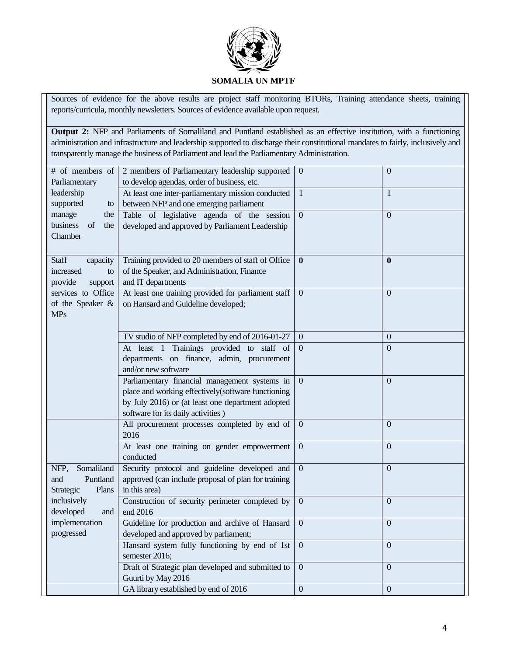

Sources of evidence for the above results are project staff monitoring BTORs, Training attendance sheets, training reports/curricula, monthly newsletters. Sources of evidence available upon request.

**Output 2:** NFP and Parliaments of Somaliland and Puntland established as an effective institution, with a functioning administration and infrastructure and leadership supported to discharge their constitutional mandates to fairly, inclusively and transparently manage the business of Parliament and lead the Parliamentary Administration.

| # of members of<br>Parliamentary                                  | 2 members of Parliamentary leadership supported<br>to develop agendas, order of business, etc.                                                                                                 | $\overline{0}$   | $\overline{0}$   |
|-------------------------------------------------------------------|------------------------------------------------------------------------------------------------------------------------------------------------------------------------------------------------|------------------|------------------|
| leadership<br>supported<br>to                                     | At least one inter-parliamentary mission conducted<br>between NFP and one emerging parliament                                                                                                  | $\mathbf{1}$     | $\mathbf{1}$     |
| manage<br>the<br>business<br>of<br>the<br>Chamber                 | Table of legislative agenda of the session<br>developed and approved by Parliament Leadership                                                                                                  | $\overline{0}$   | $\overline{0}$   |
| <b>Staff</b><br>capacity<br>increased<br>to<br>provide<br>support | Training provided to 20 members of staff of Office<br>of the Speaker, and Administration, Finance<br>and IT departments                                                                        | $\bf{0}$         | $\bf{0}$         |
| services to Office<br>of the Speaker &<br><b>MPs</b>              | At least one training provided for parliament staff<br>on Hansard and Guideline developed;                                                                                                     | $\mathbf{0}$     | $\boldsymbol{0}$ |
|                                                                   | TV studio of NFP completed by end of 2016-01-27                                                                                                                                                | $\mathbf{0}$     | $\boldsymbol{0}$ |
|                                                                   | At least 1 Trainings provided to staff of<br>departments on finance, admin, procurement<br>and/or new software                                                                                 | $\mathbf{0}$     | $\overline{0}$   |
|                                                                   | Parliamentary financial management systems in<br>place and working effectively(software functioning<br>by July 2016) or (at least one department adopted<br>software for its daily activities) | $\Omega$         | $\overline{0}$   |
|                                                                   | All procurement processes completed by end of<br>2016                                                                                                                                          | $\mathbf{0}$     | $\overline{0}$   |
|                                                                   | At least one training on gender empowerment<br>conducted                                                                                                                                       | $\boldsymbol{0}$ | $\overline{0}$   |
| Somaliland<br>NFP,<br>Puntland<br>and<br>Plans<br>Strategic       | Security protocol and guideline developed and<br>approved (can include proposal of plan for training<br>in this area)                                                                          | $\overline{0}$   | $\overline{0}$   |
| inclusively<br>developed<br>and                                   | Construction of security perimeter completed by<br>end 2016                                                                                                                                    | $\mathbf{0}$     | $\overline{0}$   |
| implementation<br>progressed                                      | Guideline for production and archive of Hansard<br>developed and approved by parliament;                                                                                                       | $\boldsymbol{0}$ | $\overline{0}$   |
|                                                                   | Hansard system fully functioning by end of 1st<br>semester 2016;                                                                                                                               | $\mathbf{0}$     | $\overline{0}$   |
|                                                                   | Draft of Strategic plan developed and submitted to<br>Guurti by May 2016                                                                                                                       | $\mathbf{0}$     | $\overline{0}$   |
|                                                                   | GA library established by end of 2016                                                                                                                                                          | $\mathbf{0}$     | $\overline{0}$   |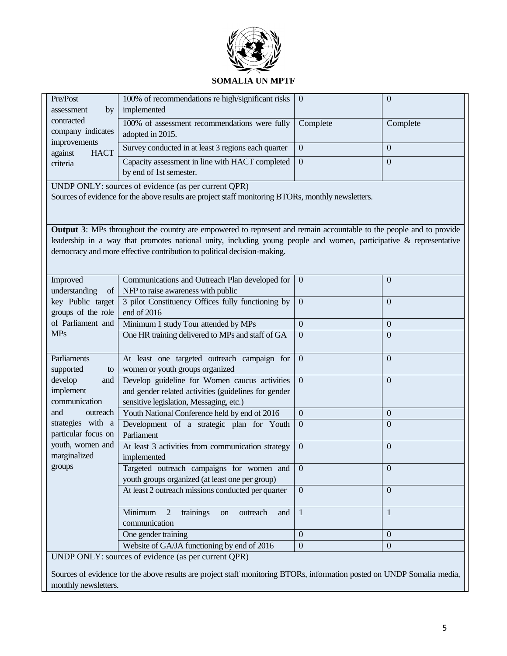

## **SOMALIA UN MPTF**

| Pre/Post<br>bv<br>assessment           | 100% of recommendations re high/significant risks  <br>implemented         | - 0      |          |
|----------------------------------------|----------------------------------------------------------------------------|----------|----------|
| contracted<br>company indicates        | 100% of assessment recommendations were fully<br>adopted in 2015.          | Complete | Complete |
| improvements<br><b>HACT</b><br>against | Survey conducted in at least 3 regions each quarter                        | $\theta$ |          |
| criteria                               | Capacity assessment in line with HACT completed<br>by end of 1st semester. | $\Omega$ |          |

UNDP ONLY: sources of evidence (as per current QPR)

Sources of evidence for the above results are project staff monitoring BTORs, monthly newsletters.

**Output 3**: MPs throughout the country are empowered to represent and remain accountable to the people and to provide leadership in a way that promotes national unity, including young people and women, participative & representative democracy and more effective contribution to political decision-making.

| Improved                                            | Communications and Outreach Plan developed for                  | $\overline{0}$   | $\overline{0}$ |  |  |
|-----------------------------------------------------|-----------------------------------------------------------------|------------------|----------------|--|--|
| understanding<br><sub>of</sub>                      | NFP to raise awareness with public                              |                  |                |  |  |
| key Public target                                   | 3 pilot Constituency Offices fully functioning by               | $\Omega$         | $\Omega$       |  |  |
| groups of the role                                  | end of 2016                                                     |                  |                |  |  |
| of Parliament and                                   | Minimum 1 study Tour attended by MPs                            | $\Omega$         | $\Omega$       |  |  |
| <b>MPs</b>                                          | One HR training delivered to MPs and staff of GA                | $\boldsymbol{0}$ | $\Omega$       |  |  |
|                                                     |                                                                 |                  |                |  |  |
| Parliaments                                         | At least one targeted outreach campaign for                     | $\theta$         | $\Omega$       |  |  |
| supported<br>to                                     | women or youth groups organized                                 |                  |                |  |  |
| develop<br>and                                      | Develop guideline for Women caucus activities                   | $\overline{0}$   | $\Omega$       |  |  |
| implement                                           | and gender related activities (guidelines for gender            |                  |                |  |  |
| communication                                       | sensitive legislation, Messaging, etc.)                         |                  |                |  |  |
| and<br>outreach                                     | Youth National Conference held by end of 2016                   | $\Omega$         | $\Omega$       |  |  |
| strategies with a                                   | Development of a strategic plan for Youth                       | $\mathbf{0}$     | $\Omega$       |  |  |
| particular focus on                                 | Parliament                                                      |                  |                |  |  |
| youth, women and                                    | At least 3 activities from communication strategy               | $\overline{0}$   | $\Omega$       |  |  |
| marginalized                                        | implemented                                                     |                  |                |  |  |
| groups                                              | Targeted outreach campaigns for women and                       | $\Omega$         | $\Omega$       |  |  |
|                                                     | youth groups organized (at least one per group)                 |                  |                |  |  |
|                                                     | At least 2 outreach missions conducted per quarter              | $\overline{0}$   | $\Omega$       |  |  |
|                                                     |                                                                 |                  |                |  |  |
|                                                     | Minimum<br>trainings<br>$\overline{2}$<br>outreach<br>and<br>on | $\mathbf{1}$     |                |  |  |
|                                                     | communication                                                   |                  |                |  |  |
|                                                     | One gender training                                             | $\overline{0}$   | $\Omega$       |  |  |
|                                                     | Website of GA/JA functioning by end of 2016                     | $\boldsymbol{0}$ | $\Omega$       |  |  |
| UNDP ONLY: sources of evidence (as per current QPR) |                                                                 |                  |                |  |  |

Sources of evidence for the above results are project staff monitoring BTORs, information posted on UNDP Somalia media, monthly newsletters.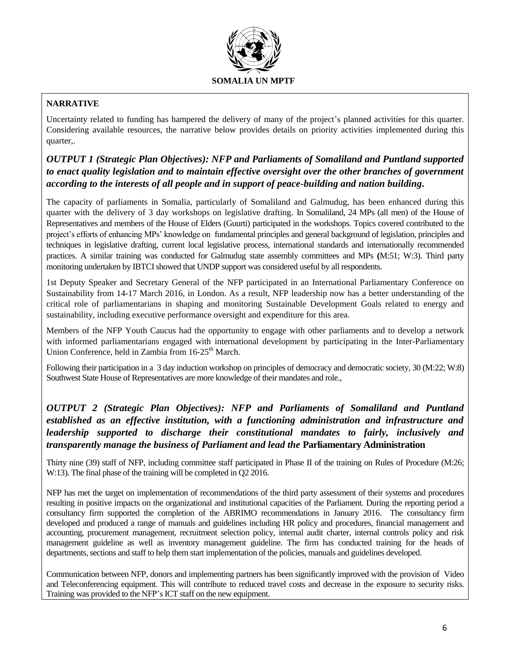

## **NARRATIVE**

Uncertainty related to funding has hampered the delivery of many of the project's planned activities for this quarter. Considering available resources, the narrative below provides details on priority activities implemented during this quarter,.

## *OUTPUT 1 (Strategic Plan Objectives): NFP and Parliaments of Somaliland and Puntland supported to enact quality legislation and to maintain effective oversight over the other branches of government according to the interests of all people and in support of peace-building and nation building***.**

The capacity of parliaments in Somalia, particularly of Somaliland and Galmudug, has been enhanced during this quarter with the delivery of 3 day workshops on legislative drafting. In Somaliland, 24 MPs (all men) of the House of Representatives and members of the House of Elders (Guurti) participated in the workshops. Topics covered contributed to the project's efforts of enhancing MPs' knowledge on fundamental principles and general background of legislation, principles and techniques in legislative drafting, current local legislative process, international standards and internationally recommended practices. A similar training was conducted for Galmudug state assembly committees and MPs **(**M:51; W:3). Third party monitoring undertaken by IBTCI showed that UNDP support was considered useful by all respondents.

1st Deputy Speaker and Secretary General of the NFP participated in an International Parliamentary Conference on Sustainability from 14-17 March 2016, in London. As a result, NFP leadership now has a better understanding of the critical role of parliamentarians in shaping and monitoring Sustainable Development Goals related to energy and sustainability, including executive performance oversight and expenditure for this area.

Members of the NFP Youth Caucus had the opportunity to engage with other parliaments and to develop a network with informed parliamentarians engaged with international development by participating in the Inter-Parliamentary Union Conference, held in Zambia from  $16-25$ <sup>th</sup> March.

Following their participation in a 3 day induction workshop on principles of democracy and democratic society, 30 (M:22; W:8) Southwest State House of Representatives are more knowledge of their mandates and role.,

## *OUTPUT 2 (Strategic Plan Objectives): NFP and Parliaments of Somaliland and Puntland established as an effective institution, with a functioning administration and infrastructure and leadership supported to discharge their constitutional mandates to fairly, inclusively and transparently manage the business of Parliament and lead the* **Parliamentary Administration**

Thirty nine (39) staff of NFP, including committee staff participated in Phase II of the training on Rules of Procedure (M:26; W:13). The final phase of the training will be completed in Q2 2016.

NFP has met the target on implementation of recommendations of the third party assessment of their systems and procedures resulting in positive impacts on the organizational and institutional capacities of the Parliament. During the reporting period a consultancy firm supported the completion of the ABRIMO recommendations in January 2016. The consultancy firm developed and produced a range of manuals and guidelines including HR policy and procedures, financial management and accounting, procurement management, recruitment selection policy, internal audit charter, internal controls policy and risk management guideline as well as inventory management guideline. The firm has conducted training for the heads of departments, sections and staff to help them start implementation of the policies, manuals and guidelines developed.

Communication between NFP, donors and implementing partners has been significantly improved with the provision of Video and Teleconferencing equipment. This will contribute to reduced travel costs and decrease in the exposure to security risks. Training was provided to the NFP's ICT staff on the new equipment.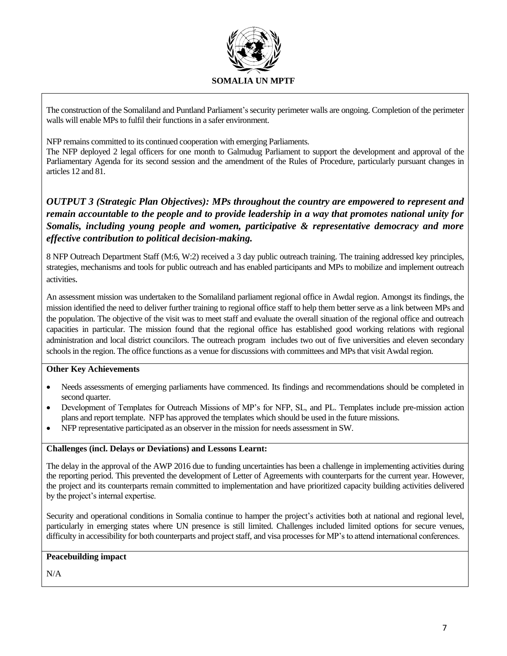

The construction of the Somaliland and Puntland Parliament'ssecurity perimeter walls are ongoing. Completion of the perimeter walls will enable MPs to fulfil their functions in a safer environment.

NFP remains committed to its continued cooperation with emerging Parliaments.

The NFP deployed 2 legal officers for one month to Galmudug Parliament to support the development and approval of the Parliamentary Agenda for its second session and the amendment of the Rules of Procedure, particularly pursuant changes in articles 12 and 81.

*OUTPUT 3 (Strategic Plan Objectives): MPs throughout the country are empowered to represent and remain accountable to the people and to provide leadership in a way that promotes national unity for Somalis, including young people and women, participative & representative democracy and more effective contribution to political decision-making.*

8 NFP Outreach Department Staff (M:6, W:2) received a 3 day public outreach training. The training addressed key principles, strategies, mechanisms and tools for public outreach and has enabled participants and MPs to mobilize and implement outreach activities.

An assessment mission was undertaken to the Somaliland parliament regional office in Awdal region. Amongst its findings, the mission identified the need to deliver further training to regional office staff to help them better serve as a link between MPs and the population. The objective of the visit was to meet staff and evaluate the overall situation of the regional office and outreach capacities in particular. The mission found that the regional office has established good working relations with regional administration and local district councilors. The outreach program includes two out of five universities and eleven secondary schools in the region. The office functions as a venue for discussions with committees and MPs that visit Awdal region.

### **Other Key Achievements**

- Needs assessments of emerging parliaments have commenced. Its findings and recommendations should be completed in second quarter.
- Development of Templates for Outreach Missions of MP's for NFP, SL, and PL. Templates include pre-mission action plans and report template. NFP has approved the templates which should be used in the future missions.
- NFP representative participated as an observer in the mission for needs assessment in SW.

### **Challenges (incl. Delays or Deviations) and Lessons Learnt:**

The delay in the approval of the AWP 2016 due to funding uncertainties has been a challenge in implementing activities during the reporting period. This prevented the development of Letter of Agreements with counterparts for the current year. However, the project and its counterparts remain committed to implementation and have prioritized capacity building activities delivered by the project's internal expertise.

Security and operational conditions in Somalia continue to hamper the project's activities both at national and regional level, particularly in emerging states where UN presence is still limited. Challenges included limited options for secure venues, difficulty in accessibility for both counterparts and project staff, and visa processes for MP's to attend international conferences.

### **Peacebuilding impact**

N/A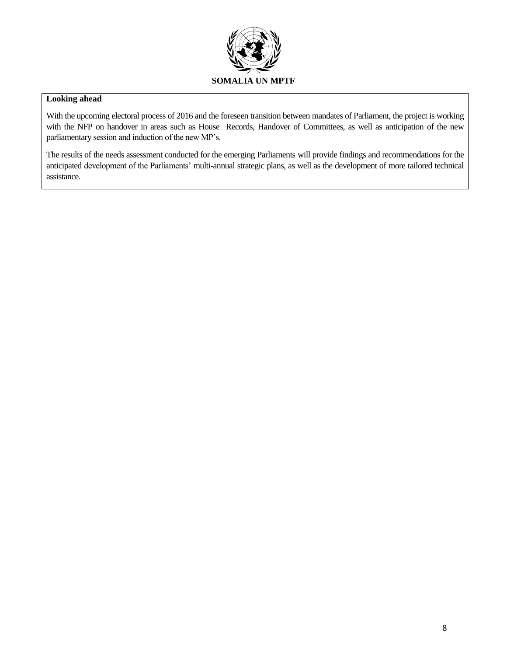

### **Looking ahead**

With the upcoming electoral process of 2016 and the foreseen transition between mandates of Parliament, the project is working with the NFP on handover in areas such as House Records, Handover of Committees, as well as anticipation of the new parliamentary session and induction of the new MP's.

The results of the needs assessment conducted for the emerging Parliaments will provide findings and recommendations for the anticipated development of the Parliaments' multi-annual strategic plans, as well as the development of more tailored technical assistance.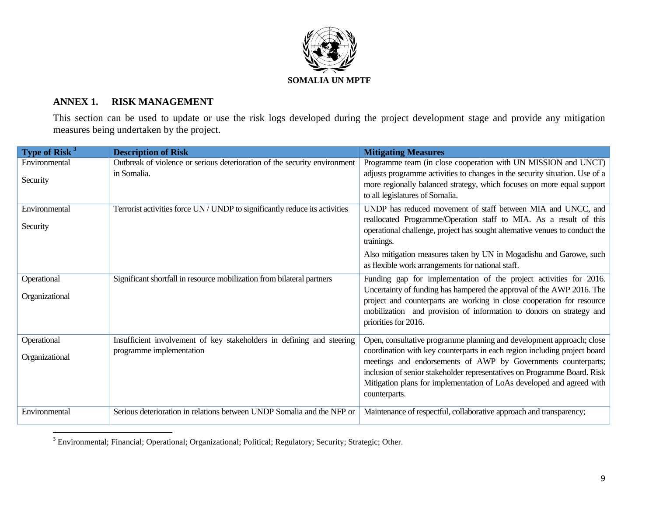

## **ANNEX 1. RISK MANAGEMENT**

This section can be used to update or use the risk logs developed during the project development stage and provide any mitigation measures being undertaken by the project.

| Type of Risk <sup>3</sup>     | <b>Description of Risk</b>                                                                        | <b>Mitigating Measures</b>                                                                                                                                                                                                                                                                                                                                                                |
|-------------------------------|---------------------------------------------------------------------------------------------------|-------------------------------------------------------------------------------------------------------------------------------------------------------------------------------------------------------------------------------------------------------------------------------------------------------------------------------------------------------------------------------------------|
| Environmental<br>Security     | Outbreak of violence or serious deterioration of the security environment<br>in Somalia.          | Programme team (in close cooperation with UN MISSION and UNCT)<br>adjusts programme activities to changes in the security situation. Use of a<br>more regionally balanced strategy, which focuses on more equal support<br>to all legislatures of Somalia.                                                                                                                                |
| Environmental<br>Security     | Terrorist activities force UN / UNDP to significantly reduce its activities                       | UNDP has reduced movement of staff between MIA and UNCC, and<br>reallocated Programme/Operation staff to MIA. As a result of this<br>operational challenge, project has sought alternative venues to conduct the<br>trainings.                                                                                                                                                            |
|                               |                                                                                                   | Also mitigation measures taken by UN in Mogadishu and Garowe, such<br>as flexible work arrangements for national staff.                                                                                                                                                                                                                                                                   |
| Operational<br>Organizational | Significant shortfall in resource mobilization from bilateral partners                            | Funding gap for implementation of the project activities for 2016.<br>Uncertainty of funding has hampered the approval of the AWP 2016. The<br>project and counterparts are working in close cooperation for resource<br>mobilization and provision of information to donors on strategy and<br>priorities for 2016.                                                                      |
| Operational<br>Organizational | Insufficient involvement of key stakeholders in defining and steering<br>programme implementation | Open, consultative programme planning and development approach; close<br>coordination with key counterparts in each region including project board<br>meetings and endorsements of AWP by Governments counterparts;<br>inclusion of senior stakeholder representatives on Programme Board. Risk<br>Mitigation plans for implementation of LoAs developed and agreed with<br>counterparts. |
| Environmental                 | Serious deterioration in relations between UNDP Somalia and the NFP or                            | Maintenance of respectful, collaborative approach and transparency;                                                                                                                                                                                                                                                                                                                       |

<sup>3</sup> Environmental; Financial; Operational; Organizational; Political; Regulatory; Security; Strategic; Other.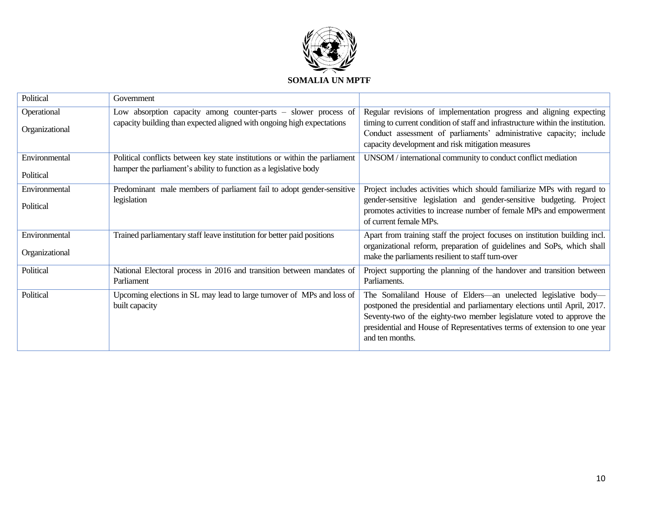

| Political                       | Government                                                                                                                                       |                                                                                                                                                                                                                                                                                                                    |
|---------------------------------|--------------------------------------------------------------------------------------------------------------------------------------------------|--------------------------------------------------------------------------------------------------------------------------------------------------------------------------------------------------------------------------------------------------------------------------------------------------------------------|
| Operational<br>Organizational   | Low absorption capacity among counter-parts – slower process of<br>capacity building than expected aligned with ongoing high expectations        | Regular revisions of implementation progress and aligning expecting<br>timing to current condition of staff and infrastructure within the institution.<br>Conduct assessment of parliaments' administrative capacity; include<br>capacity development and risk mitigation measures                                 |
| Environmental<br>Political      | Political conflicts between key state institutions or within the parliament<br>hamper the parliament's ability to function as a legislative body | UNSOM / international community to conduct conflict mediation                                                                                                                                                                                                                                                      |
| Environmental<br>Political      | Predominant male members of parliament fail to adopt gender-sensitive<br>legislation                                                             | Project includes activities which should familiarize MPs with regard to<br>gender-sensitive legislation and gender-sensitive budgeting. Project<br>promotes activities to increase number of female MPs and empowerment<br>of current female MPs.                                                                  |
| Environmental<br>Organizational | Trained parliamentary staff leave institution for better paid positions                                                                          | Apart from training staff the project focuses on institution building incl.<br>organizational reform, preparation of guidelines and SoPs, which shall<br>make the parliaments resilient to staff turn-over                                                                                                         |
| Political                       | National Electoral process in 2016 and transition between mandates of<br>Parliament                                                              | Project supporting the planning of the handover and transition between<br>Parliaments.                                                                                                                                                                                                                             |
| Political                       | Upcoming elections in SL may lead to large turnover of MPs and loss of<br>built capacity                                                         | The Somaliland House of Elders-an unelected legislative body-<br>postponed the presidential and parliamentary elections until April, 2017.<br>Seventy-two of the eighty-two member legislature voted to approve the<br>presidential and House of Representatives terms of extension to one year<br>and ten months. |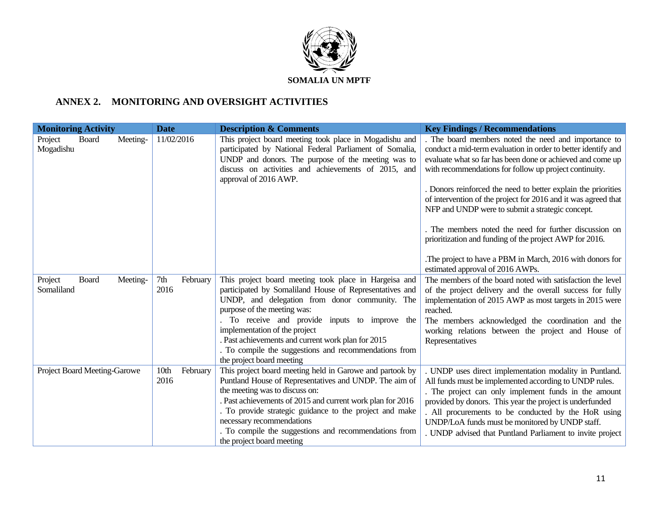

## **ANNEX 2. MONITORING AND OVERSIGHT ACTIVITIES**

| <b>Monitoring Activity</b>   |       |          | <b>Date</b>              |          | <b>Description &amp; Comments</b>                                                                                                                                                                                                                                                                                                                                                                                                | <b>Key Findings / Recommendations</b>                                                                                                                                                                                                                                                                                                                                                                                                                                                                                                                     |
|------------------------------|-------|----------|--------------------------|----------|----------------------------------------------------------------------------------------------------------------------------------------------------------------------------------------------------------------------------------------------------------------------------------------------------------------------------------------------------------------------------------------------------------------------------------|-----------------------------------------------------------------------------------------------------------------------------------------------------------------------------------------------------------------------------------------------------------------------------------------------------------------------------------------------------------------------------------------------------------------------------------------------------------------------------------------------------------------------------------------------------------|
| Project<br>Mogadishu         | Board | Meeting- | 11/02/2016               |          | This project board meeting took place in Mogadishu and<br>participated by National Federal Parliament of Somalia,<br>UNDP and donors. The purpose of the meeting was to<br>discuss on activities and achievements of 2015, and<br>approval of 2016 AWP.                                                                                                                                                                          | . The board members noted the need and importance to<br>conduct a mid-term evaluation in order to better identify and<br>evaluate what so far has been done or achieved and come up<br>with recommendations for follow up project continuity.<br>. Donors reinforced the need to better explain the priorities<br>of intervention of the project for 2016 and it was agreed that<br>NFP and UNDP were to submit a strategic concept.<br>. The members noted the need for further discussion on<br>prioritization and funding of the project AWP for 2016. |
|                              |       |          |                          |          |                                                                                                                                                                                                                                                                                                                                                                                                                                  | The project to have a PBM in March, 2016 with donors for<br>estimated approval of 2016 AWPs.                                                                                                                                                                                                                                                                                                                                                                                                                                                              |
| Project<br>Somaliland        | Board | Meeting- | 7th<br>2016              | February | This project board meeting took place in Hargeisa and<br>participated by Somaliland House of Representatives and<br>UNDP, and delegation from donor community. The<br>purpose of the meeting was:<br>. To receive and provide inputs to improve the<br>implementation of the project<br>. Past achievements and current work plan for 2015<br>. To compile the suggestions and recommendations from<br>the project board meeting | The members of the board noted with satisfaction the level<br>of the project delivery and the overall success for fully<br>implementation of 2015 AWP as most targets in 2015 were<br>reached.<br>The members acknowledged the coordination and the<br>working relations between the project and House of<br>Representatives                                                                                                                                                                                                                              |
| Project Board Meeting-Garowe |       |          | 10 <sub>th</sub><br>2016 | February | This project board meeting held in Garowe and partook by<br>Puntland House of Representatives and UNDP. The aim of<br>the meeting was to discuss on:<br>. Past achievements of 2015 and current work plan for 2016<br>. To provide strategic guidance to the project and make<br>necessary recommendations<br>. To compile the suggestions and recommendations from<br>the project board meeting                                 | . UNDP uses direct implementation modality in Puntland.<br>All funds must be implemented according to UNDP rules.<br>The project can only implement funds in the amount<br>provided by donors. This year the project is underfunded<br>. All procurements to be conducted by the HoR using<br>UNDP/LoA funds must be monitored by UNDP staff.<br>. UNDP advised that Puntland Parliament to invite project                                                                                                                                                |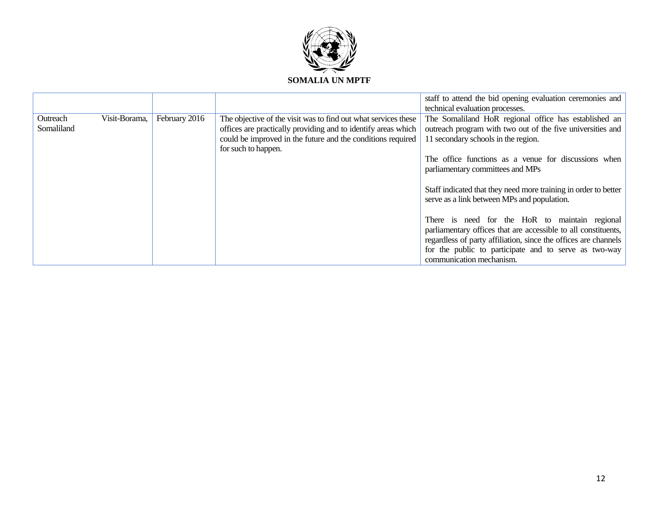

|            |               |               |                                                                | staff to attend the bid opening evaluation ceremonies and       |
|------------|---------------|---------------|----------------------------------------------------------------|-----------------------------------------------------------------|
|            |               |               |                                                                | technical evaluation processes.                                 |
| Outreach   | Visit-Borama, | February 2016 | The objective of the visit was to find out what services these | The Somaliland HoR regional office has established an           |
| Somaliland |               |               | offices are practically providing and to identify areas which  | outreach program with two out of the five universities and      |
|            |               |               | could be improved in the future and the conditions required    | 11 secondary schools in the region.                             |
|            |               |               | for such to happen.                                            |                                                                 |
|            |               |               |                                                                | The office functions as a venue for discussions when            |
|            |               |               |                                                                | parliamentary committees and MPs                                |
|            |               |               |                                                                |                                                                 |
|            |               |               |                                                                | Staff indicated that they need more training in order to better |
|            |               |               |                                                                | serve as a link between MPs and population.                     |
|            |               |               |                                                                |                                                                 |
|            |               |               |                                                                | There is need for the HoR to maintain regional                  |
|            |               |               |                                                                | parliamentary offices that are accessible to all constituents,  |
|            |               |               |                                                                | regardless of party affiliation, since the offices are channels |
|            |               |               |                                                                | for the public to participate and to serve as two-way           |
|            |               |               |                                                                | communication mechanism.                                        |